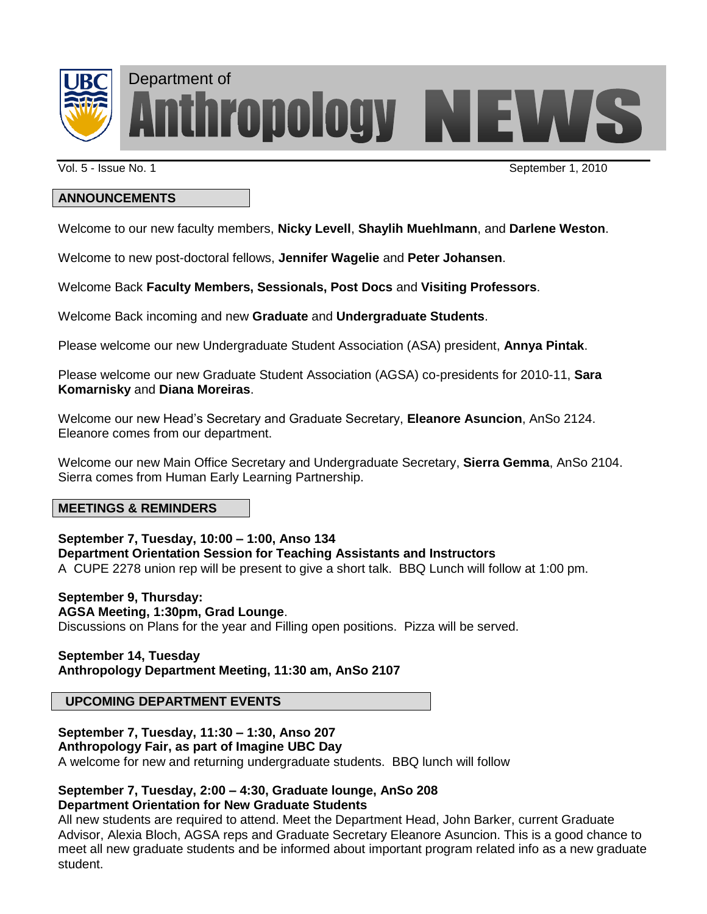

Department of**Thropology NEWS** 

Vol. 5 - Issue No. 1 September 1, 2010

### **ANNOUNCEMENTS**

Welcome to our new faculty members, **Nicky Levell**, **Shaylih Muehlmann**, and **Darlene Weston**.

Welcome to new post-doctoral fellows, **Jennifer Wagelie** and **Peter Johansen**.

Welcome Back **Faculty Members, Sessionals, Post Docs** and **Visiting Professors**.

Welcome Back incoming and new **Graduate** and **Undergraduate Students**.

Please welcome our new Undergraduate Student Association (ASA) president, **Annya Pintak**.

Please welcome our new Graduate Student Association (AGSA) co-presidents for 2010-11, **Sara Komarnisky** and **Diana Moreiras**.

Welcome our new Head's Secretary and Graduate Secretary, **Eleanore Asuncion**, AnSo 2124. Eleanore comes from our department.

Welcome our new Main Office Secretary and Undergraduate Secretary, **Sierra Gemma**, AnSo 2104. Sierra comes from Human Early Learning Partnership.

#### **MEETINGS & REMINDERS**

**September 7, Tuesday, 10:00 – 1:00, Anso 134**

**Department Orientation Session for Teaching Assistants and Instructors**

A CUPE 2278 union rep will be present to give a short talk. BBQ Lunch will follow at 1:00 pm.

### **September 9, Thursday:**

### **AGSA Meeting, 1:30pm, Grad Lounge**.

Discussions on Plans for the year and Filling open positions. Pizza will be served.

### **September 14, Tuesday Anthropology Department Meeting, 11:30 am, AnSo 2107**

### **UPCOMING DEPARTMENT EVENTS**

### **September 7, Tuesday, 11:30 – 1:30, Anso 207**

**Anthropology Fair, as part of Imagine UBC Day** 

A welcome for new and returning undergraduate students. BBQ lunch will follow

### **September 7, Tuesday, 2:00 – 4:30, Graduate lounge, AnSo 208 Department Orientation for New Graduate Students**

All new students are required to attend. Meet the Department Head, John Barker, current Graduate Advisor, Alexia Bloch, AGSA reps and Graduate Secretary Eleanore Asuncion. This is a good chance to meet all new graduate students and be informed about important program related info as a new graduate student.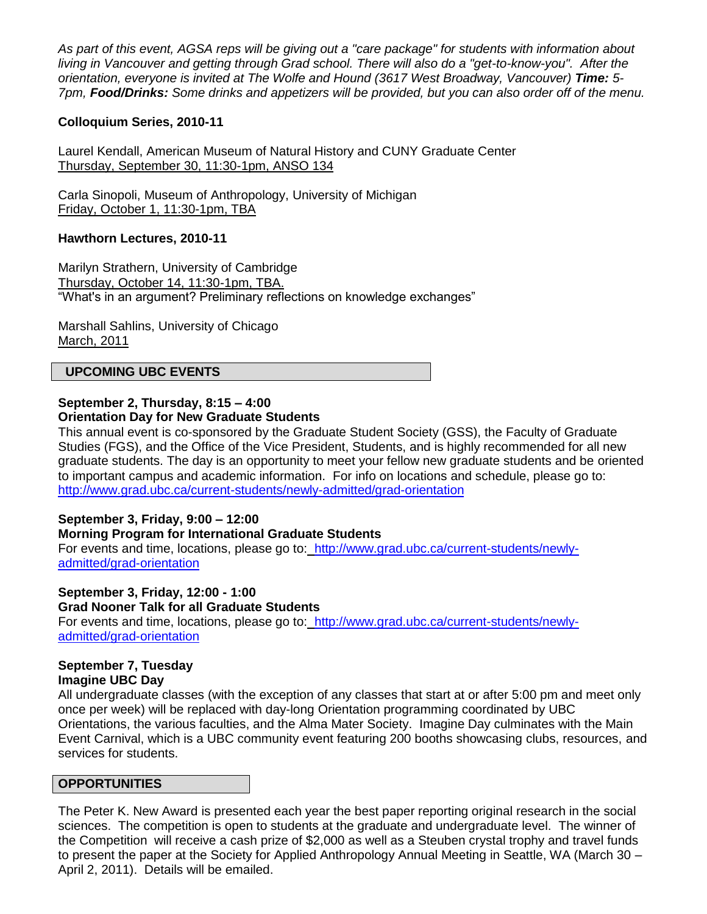*As part of this event, AGSA reps will be giving out a "care package" for students with information about living in Vancouver and getting through Grad school. There will also do a "get-to-know-you". After the orientation, everyone is invited at The Wolfe and Hound (3617 West Broadway, Vancouver) Time: 5- 7pm, Food/Drinks: Some drinks and appetizers will be provided, but you can also order off of the menu.*

### **Colloquium Series, 2010-11**

Laurel Kendall, American Museum of Natural History and CUNY Graduate Center Thursday, September 30, 11:30-1pm, ANSO 134

Carla Sinopoli, Museum of Anthropology, University of Michigan Friday, October 1, 11:30-1pm, TBA

### **Hawthorn Lectures, 2010-11**

Marilyn Strathern, University of Cambridge Thursday, October 14, 11:30-1pm, TBA. "What's in an argument? Preliminary reflections on knowledge exchanges"

Marshall Sahlins, University of Chicago March, 2011

#### **UPCOMING UBC EVENTS**

#### **September 2, Thursday, 8:15 – 4:00 Orientation Day for New Graduate Students**

This annual event is co-sponsored by the Graduate Student Society (GSS), the Faculty of Graduate Studies (FGS), and the Office of the Vice President, Students, and is highly recommended for all new graduate students. The day is an opportunity to meet your fellow new graduate students and be oriented to important campus and academic information. For info on locations and schedule, please go to: <http://www.grad.ubc.ca/current-students/newly-admitted/grad-orientation>

### **September 3, Friday, 9:00 – 12:00**

#### **Morning Program for International Graduate Students**

For events and time, locations, please go to:[http://www.grad.ubc.ca/current-students/newly](http://www.grad.ubc.ca/current-students/newly-admitted/grad-orientation)[admitted/grad-orientation](http://www.grad.ubc.ca/current-students/newly-admitted/grad-orientation)

## **September 3, Friday, 12:00 - 1:00**

**Grad Nooner Talk for all Graduate Students**

For events and time, locations, please go to:[http://www.grad.ubc.ca/current-students/newly](http://www.grad.ubc.ca/current-students/newly-admitted/grad-orientation)[admitted/grad-orientation](http://www.grad.ubc.ca/current-students/newly-admitted/grad-orientation)

# **September 7, Tuesday**

### **Imagine UBC Day**

All undergraduate classes (with the exception of any classes that start at or after 5:00 pm and meet only once per week) will be replaced with day-long Orientation programming coordinated by UBC Orientations, the various faculties, and the Alma Mater Society. Imagine Day culminates with the Main Event Carnival, which is a UBC community event featuring 200 booths showcasing clubs, resources, and services for students.

#### **OPPORTUNITIES**

The Peter K. New Award is presented each year the best paper reporting original research in the social sciences. The competition is open to students at the graduate and undergraduate level. The winner of the Competition will receive a cash prize of \$2,000 as well as a Steuben crystal trophy and travel funds to present the paper at the Society for Applied Anthropology Annual Meeting in Seattle, WA (March 30 – April 2, 2011). Details will be emailed.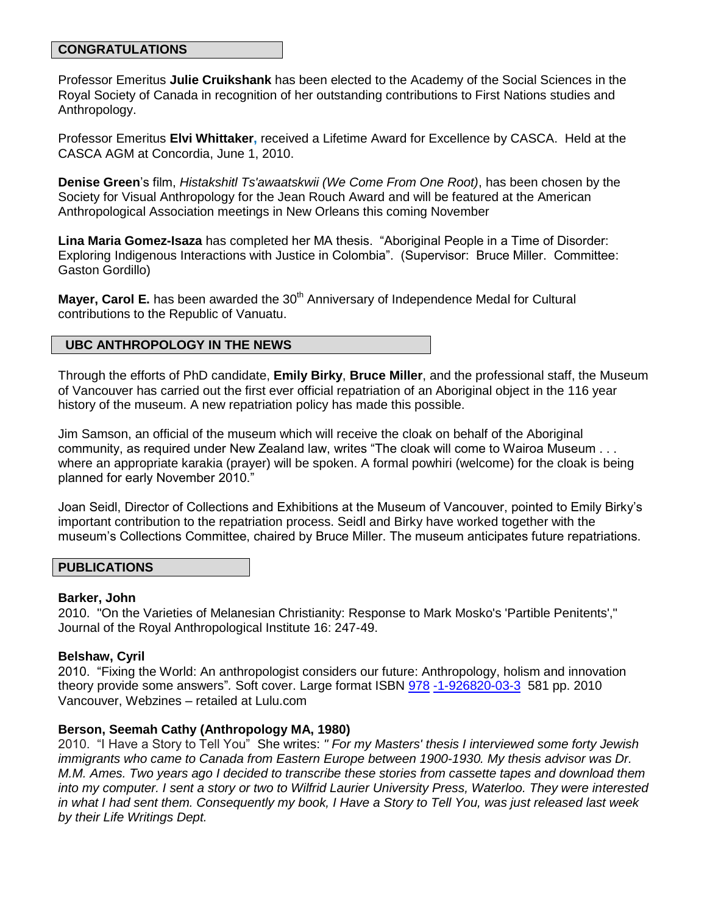#### **CONGRATULATIONS**

Professor Emeritus **Julie Cruikshank** has been elected to the Academy of the Social Sciences in the Royal Society of Canada in recognition of her outstanding contributions to First Nations studies and Anthropology.

Professor Emeritus **Elvi Whittaker,** received a Lifetime Award for Excellence by CASCA. Held at the CASCA AGM at Concordia, June 1, 2010.

**Denise Green**'s film, *Histakshitl Ts'awaatskwii (We Come From One Root)*, has been chosen by the Society for Visual Anthropology for the Jean Rouch Award and will be featured at the American Anthropological Association meetings in New Orleans this coming November

**Lina Maria Gomez-Isaza** has completed her MA thesis. "Aboriginal People in a Time of Disorder: Exploring Indigenous Interactions with Justice in Colombia". (Supervisor: Bruce Miller. Committee: Gaston Gordillo)

**Mayer, Carol E.** has been awarded the 30<sup>th</sup> Anniversary of Independence Medal for Cultural contributions to the Republic of Vanuatu.

### **UBC ANTHROPOLOGY IN THE NEWS**

Through the efforts of PhD candidate, **Emily Birky**, **Bruce Miller**, and the professional staff, the Museum of Vancouver has carried out the first ever official repatriation of an Aboriginal object in the 116 year history of the museum. A new repatriation policy has made this possible.

Jim Samson, an official of the museum which will receive the cloak on behalf of the Aboriginal community, as required under New Zealand law, writes "The cloak will come to Wairoa Museum . . . where an appropriate karakia (prayer) will be spoken. A formal powhiri (welcome) for the cloak is being planned for early November 2010."

Joan Seidl, Director of Collections and Exhibitions at the Museum of Vancouver, pointed to Emily Birky's important contribution to the repatriation process. Seidl and Birky have worked together with the museum's Collections Committee, chaired by Bruce Miller. The museum anticipates future repatriations.

#### **PUBLICATIONS**

#### **Barker, John**

2010. "On the Varieties of Melanesian Christianity: Response to Mark Mosko's 'Partible Penitents'," Journal of the Royal Anthropological Institute 16: 247-49.

#### **Belshaw, Cyril**

2010. "Fixing the World: An anthropologist considers our future: Anthropology, holism and innovation theory provide some answers"*.* Soft cover. Large format ISBN [978](http://www.collectionscanada.gc.ca/ciss-ssci/app/index.php?fuseaction=logbook.edit&publication=227493&lang=eng) [-1-926820-03-3](http://www.collectionscanada.gc.ca/ciss-ssci/app/index.php?fuseaction=logbook.edit&publication=227493&lang=eng) 581 pp. 2010 Vancouver, Webzines – retailed at Lulu.com

#### **Berson, Seemah Cathy (Anthropology MA, 1980)**

2010. "I Have a Story to Tell You" She writes: *" For my Masters' thesis I interviewed some forty Jewish immigrants who came to Canada from Eastern Europe between 1900-1930. My thesis advisor was Dr. M.M. Ames. Two years ago I decided to transcribe these stories from cassette tapes and download them into my computer. I sent a story or two to Wilfrid Laurier University Press, Waterloo. They were interested in what I had sent them. Consequently my book, I Have a Story to Tell You, was just released last week by their Life Writings Dept.*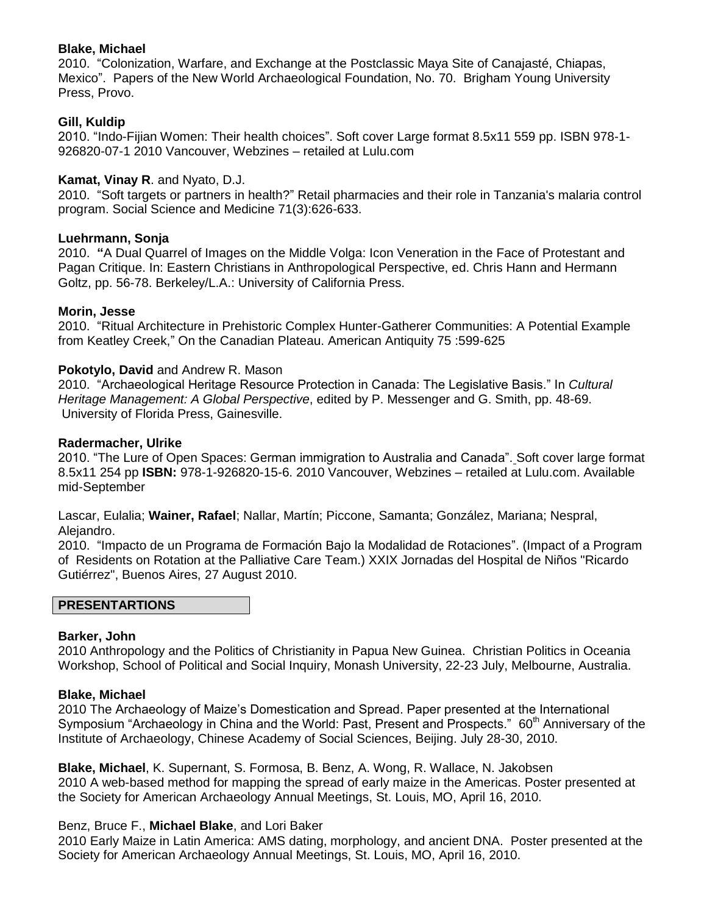### **Blake, Michael**

2010. "Colonization, Warfare, and Exchange at the Postclassic Maya Site of Canajasté, Chiapas, Mexico". Papers of the New World Archaeological Foundation, No. 70. Brigham Young University Press, Provo.

### **Gill, Kuldip**

2010. "Indo-Fijian Women: Their health choices". Soft cover Large format 8.5x11 559 pp. ISBN 978-1- 926820-07-1 2010 Vancouver, Webzines – retailed at Lulu.com

#### **Kamat, Vinay R**. and Nyato, D.J.

2010. "Soft targets or partners in health?" Retail pharmacies and their role in Tanzania's malaria control program. Social Science and Medicine 71(3):626-633.

### **Luehrmann, Sonja**

2010. **"**A Dual Quarrel of Images on the Middle Volga: Icon Veneration in the Face of Protestant and Pagan Critique. In: Eastern Christians in Anthropological Perspective, ed. Chris Hann and Hermann Goltz, pp. 56-78. Berkeley/L.A.: University of California Press.

### **Morin, Jesse**

2010. "Ritual Architecture in Prehistoric Complex Hunter-Gatherer Communities: A Potential Example from Keatley Creek," On the Canadian Plateau. American Antiquity 75 :599-625

### **Pokotylo, David** and Andrew R. Mason

2010. "Archaeological Heritage Resource Protection in Canada: The Legislative Basis." In *Cultural Heritage Management: A Global Perspective*, edited by P. Messenger and G. Smith, pp. 48-69. University of Florida Press, Gainesville.

### **Radermacher, Ulrike**

2010. "The Lure of Open Spaces: German immigration to Australia and Canada". Soft cover large format 8.5x11 254 pp **ISBN:** 978-1-926820-15-6. 2010 Vancouver, Webzines – retailed at Lulu.com. Available mid-September

Lascar, Eulalia; **Wainer, Rafael**; Nallar, Martín; Piccone, Samanta; González, Mariana; Nespral, Alejandro.

2010. "Impacto de un Programa de Formación Bajo la Modalidad de Rotaciones". (Impact of a Program of Residents on Rotation at the Palliative Care Team.) XXIX Jornadas del Hospital de Niños "Ricardo Gutiérrez", Buenos Aires, 27 August 2010.

### **PRESENTARTIONS**

### **Barker, John**

2010 Anthropology and the Politics of Christianity in Papua New Guinea. Christian Politics in Oceania Workshop, School of Political and Social Inquiry, Monash University, 22-23 July, Melbourne, Australia.

### **Blake, Michael**

2010 The Archaeology of Maize's Domestication and Spread. Paper presented at the International Symposium "Archaeology in China and the World: Past, Present and Prospects." 60<sup>th</sup> Anniversary of the Institute of Archaeology, Chinese Academy of Social Sciences, Beijing. July 28-30, 2010.

**Blake, Michael**, K. Supernant, S. Formosa, B. Benz, A. Wong, R. Wallace, N. Jakobsen 2010 A web-based method for mapping the spread of early maize in the Americas. Poster presented at the Society for American Archaeology Annual Meetings, St. Louis, MO, April 16, 2010.

### Benz, Bruce F., **Michael Blake**, and Lori Baker

2010 Early Maize in Latin America: AMS dating, morphology, and ancient DNA. Poster presented at the Society for American Archaeology Annual Meetings, St. Louis, MO, April 16, 2010.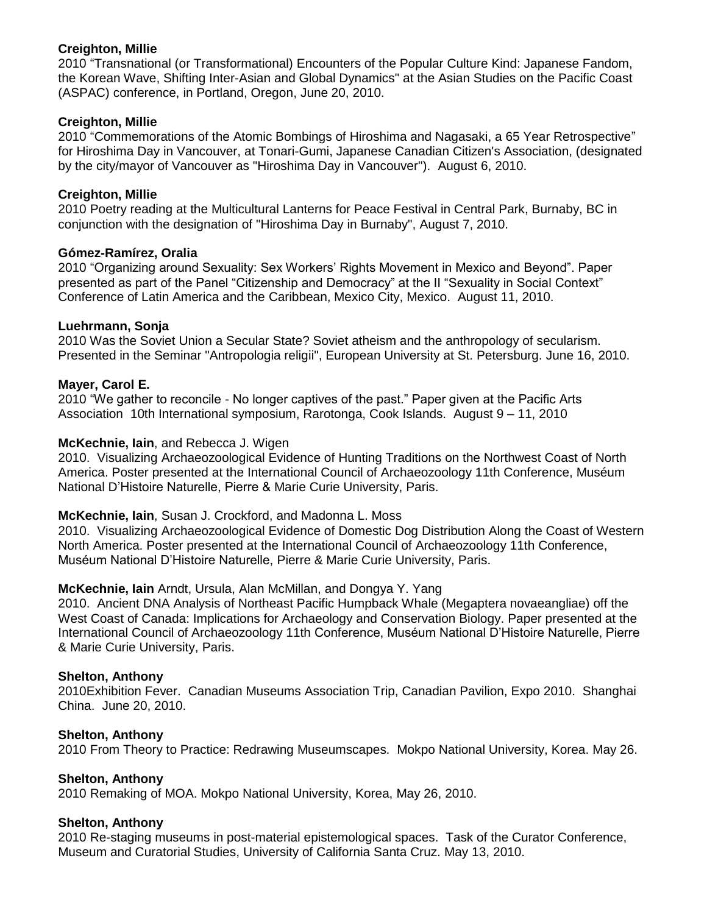### **Creighton, Millie**

2010 "Transnational (or Transformational) Encounters of the Popular Culture Kind: Japanese Fandom, the Korean Wave, Shifting Inter-Asian and Global Dynamics" at the Asian Studies on the Pacific Coast (ASPAC) conference, in Portland, Oregon, June 20, 2010.

### **Creighton, Millie**

2010 "Commemorations of the Atomic Bombings of Hiroshima and Nagasaki, a 65 Year Retrospective" for Hiroshima Day in Vancouver, at Tonari-Gumi, Japanese Canadian Citizen's Association, (designated by the city/mayor of Vancouver as "Hiroshima Day in Vancouver"). August 6, 2010.

### **Creighton, Millie**

2010 Poetry reading at the Multicultural Lanterns for Peace Festival in Central Park, Burnaby, BC in conjunction with the designation of "Hiroshima Day in Burnaby", August 7, 2010.

### **Gómez-Ramírez, Oralia**

2010 "Organizing around Sexuality: Sex Workers' Rights Movement in Mexico and Beyond". Paper presented as part of the Panel "Citizenship and Democracy" at the II "Sexuality in Social Context" Conference of Latin America and the Caribbean, Mexico City, Mexico. August 11, 2010.

### **Luehrmann, Sonja**

2010 Was the Soviet Union a Secular State? Soviet atheism and the anthropology of secularism. Presented in the Seminar "Antropologia religii", European University at St. Petersburg. June 16, 2010.

### **Mayer, Carol E.**

2010 "We gather to reconcile *-* No longer captives of the past." Paper given at the Pacific Arts Association 10th International symposium, Rarotonga, Cook Islands. August 9 – 11, 2010

### **McKechnie, Iain**, and Rebecca J. Wigen

2010. Visualizing Archaeozoological Evidence of Hunting Traditions on the Northwest Coast of North America. Poster presented at the International Council of Archaeozoology 11th Conference, Muséum National D'Histoire Naturelle, Pierre & Marie Curie University, Paris.

### **McKechnie, Iain**, Susan J. Crockford, and Madonna L. Moss

2010. Visualizing Archaeozoological Evidence of Domestic Dog Distribution Along the Coast of Western North America. Poster presented at the International Council of Archaeozoology 11th Conference, Muséum National D'Histoire Naturelle, Pierre & Marie Curie University, Paris.

### **McKechnie, Iain** Arndt, Ursula, Alan McMillan, and Dongya Y. Yang

2010. Ancient DNA Analysis of Northeast Pacific Humpback Whale (Megaptera novaeangliae) off the West Coast of Canada: Implications for Archaeology and Conservation Biology. Paper presented at the International Council of Archaeozoology 11th Conference, Muséum National D'Histoire Naturelle, Pierre & Marie Curie University, Paris.

#### **Shelton, Anthony**

2010Exhibition Fever. Canadian Museums Association Trip, Canadian Pavilion, Expo 2010. Shanghai China. June 20, 2010.

#### **Shelton, Anthony**

2010 From Theory to Practice: Redrawing Museumscapes. Mokpo National University, Korea. May 26.

### **Shelton, Anthony**

2010 Remaking of MOA. Mokpo National University, Korea, May 26, 2010.

#### **Shelton, Anthony**

2010 Re-staging museums in post-material epistemological spaces. Task of the Curator Conference, Museum and Curatorial Studies, University of California Santa Cruz. May 13, 2010.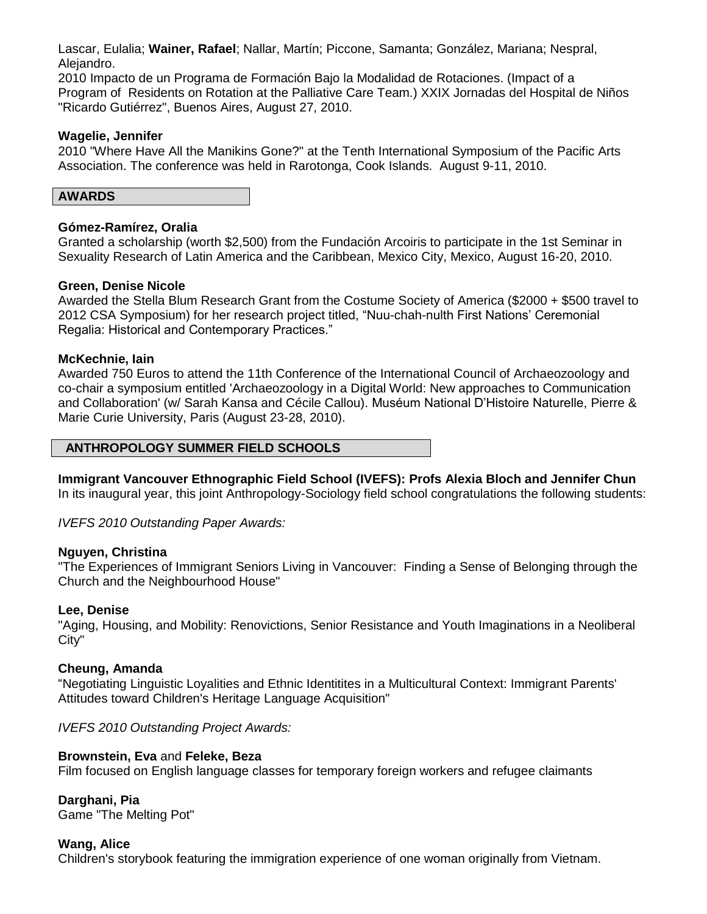Lascar, Eulalia; **Wainer, Rafael**; Nallar, Martín; Piccone, Samanta; González, Mariana; Nespral, Alejandro.

2010 Impacto de un Programa de Formación Bajo la Modalidad de Rotaciones. (Impact of a Program of Residents on Rotation at the Palliative Care Team.) XXIX Jornadas del Hospital de Niños "Ricardo Gutiérrez", Buenos Aires, August 27, 2010.

### **Wagelie, Jennifer**

2010 "Where Have All the Manikins Gone?" at the Tenth International Symposium of the Pacific Arts Association. The conference was held in Rarotonga, Cook Islands. August 9-11, 2010.

| <b>AWARDS</b> |  |
|---------------|--|
|---------------|--|

### **Gómez-Ramírez, Oralia**

Granted a scholarship (worth \$2,500) from the Fundación Arcoiris to participate in the 1st Seminar in Sexuality Research of Latin America and the Caribbean, Mexico City, Mexico, August 16-20, 2010.

### **Green, Denise Nicole**

Awarded the Stella Blum Research Grant from the Costume Society of America (\$2000 + \$500 travel to 2012 CSA Symposium) for her research project titled, "Nuu-chah-nulth First Nations' Ceremonial Regalia: Historical and Contemporary Practices."

### **McKechnie, Iain**

Awarded 750 Euros to attend the 11th Conference of the International Council of Archaeozoology and co-chair a symposium entitled 'Archaeozoology in a Digital World: New approaches to Communication and Collaboration' (w/ Sarah Kansa and Cécile Callou). Muséum National D'Histoire Naturelle, Pierre & Marie Curie University, Paris (August 23-28, 2010).

#### **ANTHROPOLOGY SUMMER FIELD SCHOOLS**

**Immigrant Vancouver Ethnographic Field School (IVEFS): Profs Alexia Bloch and Jennifer Chun** In its inaugural year, this joint Anthropology-Sociology field school congratulations the following students:

*IVEFS 2010 Outstanding Paper Awards:*

### **Nguyen, Christina**

"The Experiences of Immigrant Seniors Living in Vancouver: Finding a Sense of Belonging through the Church and the Neighbourhood House"

#### **Lee, Denise**

"Aging, Housing, and Mobility: Renovictions, Senior Resistance and Youth Imaginations in a Neoliberal City"

### **Cheung, Amanda**

"Negotiating Linguistic Loyalities and Ethnic Identitites in a Multicultural Context: Immigrant Parents' Attitudes toward Children's Heritage Language Acquisition"

*IVEFS 2010 Outstanding Project Awards:*

### **Brownstein, Eva** and **Feleke, Beza**

Film focused on English language classes for temporary foreign workers and refugee claimants

**Darghani, Pia** Game "The Melting Pot"

#### **Wang, Alice**

Children's storybook featuring the immigration experience of one woman originally from Vietnam.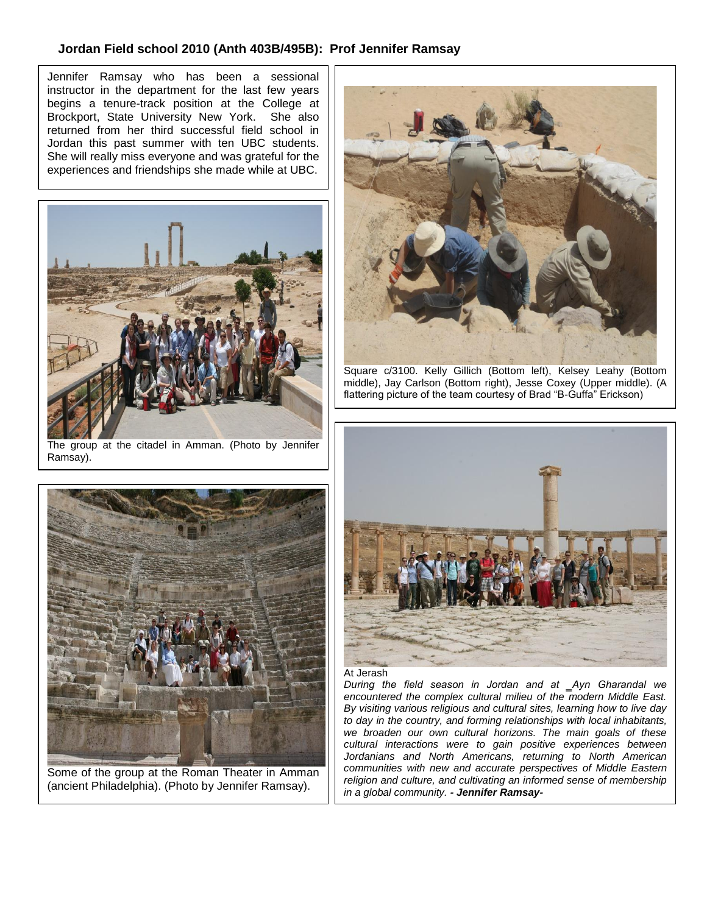### **Jordan Field school 2010 (Anth 403B/495B): Prof Jennifer Ramsay**

 Jennifer Ramsay who has been a sessional instructor in the department for the last few years begins a tenure-track position at the College at Brockport, State University New York. She also returned from her third successful field school in Jordan this past summer with ten UBC students. She will really miss everyone and was grateful for the experiences and friendships she made while at UBC.



The group at the citadel in Amman. (Photo by Jennifer Ramsay).



Some of the group at the Roman Theater in Amman (ancient Philadelphia). (Photo by Jennifer Ramsay).



Square c/3100. Kelly Gillich (Bottom left), Kelsey Leahy (Bottom middle), Jay Carlson (Bottom right), Jesse Coxey (Upper middle). (A flattering picture of the team courtesy of Brad "B-Guffa" Erickson)



#### At Jerash

*During the field season in Jordan and at ‗Ayn Gharandal we encountered the complex cultural milieu of the modern Middle East. By visiting various religious and cultural sites, learning how to live day to day in the country, and forming relationships with local inhabitants, we broaden our own cultural horizons. The main goals of these cultural interactions were to gain positive experiences between Jordanians and North Americans, returning to North American communities with new and accurate perspectives of Middle Eastern religion and culture, and cultivating an informed sense of membership in a global community. - Jennifer Ramsay-*